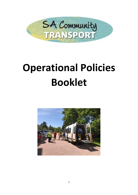

# **Operational Policies Booklet**

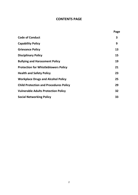# **CONTENTS PAGE**

|                                               | Page |
|-----------------------------------------------|------|
| <b>Code of Conduct</b>                        | 3    |
| <b>Capability Policy</b>                      | 9    |
| <b>Grievance Policy</b>                       | 13   |
| <b>Disciplinary Policy</b>                    | 15   |
| <b>Bullying and Harassment Policy</b>         | 19   |
| <b>Protection for Whistleblowers Policy</b>   | 21   |
| <b>Health and Safety Policy</b>               | 23   |
| <b>Workplace Drugs and Alcohol Policy</b>     | 25   |
| <b>Child Protection and Procedures Policy</b> | 29   |
| <b>Vulnerable Adults Protection Policy</b>    | 32   |
| <b>Social Networking Policy</b>               | 33   |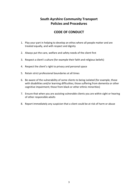# **South Ayrshire Community Transport Policies and Procedures**

# **CODE OF CONDUCT**

- 1. Play your part in helping to develop an ethos where all people matter and are treated equally, and with respect and dignity
- 2. Always put the care, welfare and safety needs of the client first
- 3. Respect a client's culture (for example their faith and religious beliefs)
- 4. Respect the client's right to privacy and personal space
- 5. Retain strict professional boundaries at all times
- 6. Be aware of the vulnerability of some clients to being isolated (for example, those with disabilities and/or learning difficulties; those suffering from dementia or other cognitive impairment; those from black or other ethnic minorities)
- 7. Ensure that when you are assisting vulnerable clients you are within sight or hearing of other responsible adults
- 8. Report immediately any suspicion that a client could be at risk of harm or abuse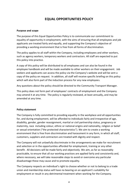# **EQUAL OPPORTUNITIES POLICY**

# **Purpose and scope**

The purpose of this Equal Opportunities Policy is to communicate our commitment to equality of opportunity in employment, with the aims of ensuring that all employees and job applicants are treated fairly and equally, and supporting the Company's objective of providing a working environment that is free from all forms of discrimination.

The policy applies to all staff within the Company, including employees and other workers, such as agency workers, temporary workers and contractors. All staff are expected to put this policy into practice.

A copy of this policy will be distributed to all employees and can also be found in the employee handbook and will be made available to other workers on their engagement. Job seekers and applicants can access the policy via the Company's website and will be sent a copy of the policy on request. In addition, all staff will receive specific briefing on this policy which will also form part of the induction process for any new employees.

Any questions about the policy should be directed to the Community Transport Manager.

This policy does not form part of employees' contracts of employment and the Company may amend it at any time. The policy is regularly reviewed, at least annually**,** and may be amended at any time.

# **Policy statement**

The Company is fully committed to providing equality in the workplace and all opportunities for, and during employment, will be afforded to individuals fairly and irrespective of age, disability, gender, gender reassignment, marital or civil partnership status, pregnancy or maternity, race including colour, ethnic or national origins and nationality, religion or belief or sexual orientation ("the protected characteristics"). We aim to create a working environment that is free from discrimination and harassment in any form, in which all staff, customers, suppliers and contractors are treated with dignity and respect.

The Company will not unlawfully discriminate in the arrangements we make for recruitment and selection or in the opportunities afforded for employment, training or any other benefit. All decisions will be made fairly and objectively. We aim, as far as reasonably practicable, to ensure that all our working practices are applied fairly and consistently and, where necessary, we will take reasonable steps to avoid or overcome any particular disadvantage these may cause and to promote equality.

The Company respects an individual's right to choose whether or not to belong to a trade union and membership status will have no bearing on an applicant's suitability for employment or result in any detrimental treatment when working for the Company.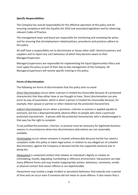# **Specific Responsibilities**

The Company has overall responsibility for the effective operation of this policy and for ensuring compliance with the Equality Act 2010 and associated legislation and for observing relevant Codes of Practice.

The management team and board are responsible for monitoring and reviewing the policy and for ensuring that all employment-related policies, procedures and practices adhere to this policy.

All staff have a responsibility not to discriminate or harass other staff, clients/customers and suppliers and to report any such behaviour of which they become aware to their Manager/Supervisor.

Managers/supervisors are responsible for implementing the Equal Opportunities Policy and must apply the policy as part of their day-to-day management of the Company. All Managers/supervisors will receive specific training in this policy.

# **Forms of discrimination**

The following are forms of discrimination that this policy aims to avoid:

*Direct Discrimination* occurs when a person is treated less favourably because of a protected characteristic that they either have or are thought to have. Direct discrimination can also occur by way of association, which is when a person is treated less favourably because, for example, their spouse or partner or other relative has the protected characteristic.

*Indirect Discrimination* occurs when a provision, criterion or practice is applied equally to everyone, but has a disproportionately adverse effect on people who share a particular protected characteristic. A person with the protected characteristic who is disadvantaged in that way has the right to complain.

To be justified the provision, criterion, or practice must be necessary for legitimate business reasons in circumstances where less discriminatory alternatives are not reasonably available.

*Victimisation* occurs where someone is treated unfavourably because he/she has raised a complaint under this policy or taken legal action, in relation to any alleged act of unlawful discrimination, against the Company or because he/she has supported someone else in doing this.

*Harassment* is unwanted conduct that violates an individual's dignity or creates an intimidating, hostile, degrading, humiliating or offensive environment. Harassment can take many different forms and may involve inappropriate actions, behaviour, comments, emails or physical contact that causes offence or are objectionable.

Harassment may involve a single incident or persistent behaviour that extends over a period of time and can occur even if someone did not mean to cause offence. It also means that a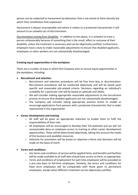person can be subjected to harassment by behaviour that is not aimed at them directly but which they nonetheless find unpleasant.

Harassment is always unacceptable and where it relates to a protected characteristic it will amount to an unlawful act of discrimination.

*Discrimination arising from Disability* - In addition to the above, it is unlawful to treat a person unfavourably because of something that is the result, effect or outcome of their disability, unless the treatment is necessary and can be objectively justified. Furthermore, employers have a duty to make reasonable adjustments to ensure that disabled applicants, employees or other workers are not substantially disadvantaged.

# **Creating equal opportunities in the workplace**

There are a number of ways in which the Company aims to ensure equal opportunities in the workplace, including:

# • **Recruitment and selection**

- o Recruitment and selection procedures will be free from bias or discrimination. Recruitment procedures will be conducted objectively and will be based upon specific and reasonable job-related criteria. Decisions regarding an individual's suitability for a particular role will be based on aptitude and ability.
- $\circ$  We will consider making appropriate reasonable adjustments to the recruitment process to ensure that disabled applicants are not substantially disadvantaged.
- $\circ$  The Company will consider taking appropriate positive action to enable or encourage applications from persons with a protected characteristic that is under represented in the organisation

# • **Career development and training**

- $\circ$  All staff will be given an appropriate induction to enable them to fulfil the responsibilities of their role.
- $\circ$  All employees will be encouraged to develop their full potential and we will not unreasonably deny an employee access to training or other career development opportunities. These will be determined objectively, taking into account the needs of the business and available resources.
- $\circ$  Selection for promotion will be based on objective criteria and decisions will be made on the basis of merit.

# • **Terms and conditions**

- o Our terms and conditions of service will be applied fairly, and benefits and facilities will be made available to all staff who should have access to them, as appropriate.
- $\circ$  Terms and conditions of employment for part-time employees will be provided on a pro-rata basis to full-time employees. Similarly, the terms and conditions for fixed term employees will be comparable with those given to permanent employees, except when different treatment can be objectively justified.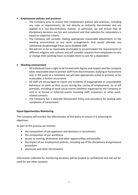# • **Employment policies and practices**

- o The Company aims to ensure that employment policies and practices, including any rules or requirements, do not directly or indirectly discriminate and are applied in a non-discriminatory manner. In particular, we will ensure that all disciplinary decisions are fair and consistent and that selection for redundancy is based on objective criteria.
- $\circ$  The Company will consider making appropriate reasonable adjustments to the working environment or any work arrangements that would alleviate any substantial disadvantage these cause disabled staff.
- o We will aim as far as reasonably practicable to accommodate the requirements of different religions and cultures and will consider requests from employees to vary or change their working hours to enable them to care for a dependant.

#### • **Working environment**

- o All individuals have a right to be treated with dignity and respect and the Company takes reasonable steps to protect staff from discrimination, bullying or harassment and, in the event of a complaint, we will take appropriate action to prevent, as far as possible, a further occurrence.
- $\circ$  All staff are encouraged to report any incidents of inappropriate or unacceptable behaviour at work or that occurs during the course of employment, on or off premises, including at work social events (whether organised by the Company or not) or at formal or informal events involving staff, customers or other workrelated contacts.
- o The Company has a separate Harassment Policy and procedure for dealing with complaints of harassment.

#### **Equal Opportunities Monitoring**

The Company will monitor the effectiveness of this policy to ensure it is achieving its objectives.

As part of this process we monitor:

- the composition of job applicants and decisions in recruitment
- the composition of our workforce
- access to training, promotion and other opportunities and benefits
- the impact of our employment policies, including use of the disciplinary and grievance procedure
- dismissals and other terminations

Information collected for monitoring purposes will be treated as confidential and will not be used for any other purpose.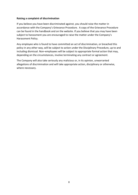#### **Raising a complaint of discrimination**

If you believe you have been discriminated against, you should raise the matter in accordance with the Company's Grievance Procedure. A copy of the Grievance Procedure can be found in the handbook and on the website. If you believe that you may have been subject to harassment you are encouraged to raise the matter under the Company's Harassment Policy.

Any employee who is found to have committed an act of discrimination, or breached this policy in any other way, will be subject to action under the Disciplinary Procedure, up to and including dismissal. Non–employees will be subject to appropriate formal action that may, depending on the circumstances, involve terminating any contract or agreement.

The Company will also take seriously any malicious or, in its opinion, unwarranted allegations of discrimination and will take appropriate action, disciplinary or otherwise, where necessary.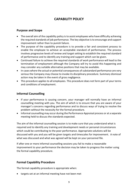# **CAPABILITY POLICY**

# **Purpose and Scope**

- The overall aim of the capability policy is to assist employees who have difficulty achieving the required standards of job performance. The key objective is to encourage and support improvement rather than to punish failure.
- The purpose of the capability procedure is to provide a fair and consistent process to enable the employee to achieve an acceptable standard of performance. The process involves progressive levels of review and target setting to establish the required standard of performance and to identify any training and support which can be given.
- Continued failure to achieve the required standards of work performance will lead to the termination of employment although the Company will try to avoid this happening and may consider any suitable alternative positions that may be available.
- In cases where the actual or potential consequences of substandard performance are very serious the Company may choose to invoke its disciplinary procedure. Summary dismissal action may be taken in the event of gross negligence.
- This procedure applies to all employees. This procedure does not form part of your terms and conditions of employment.

# **Informal Counselling**

- If your performance is causing concern, your manager will normally have an informal counselling meeting with you. The aim of which is to ensure that you are aware of your manager's concerns regarding performance and to discuss ways of trying to resolve the problem without the necessity for the formal procedure.
- Informal counselling may occur during the Performance Appraisal process or at a separate meeting held to discuss the standards expected.

The aim of the informal counselling session is to make sure that you understand what is required and to identify any training and development needs or personal circumstances which could be contributing to the poor performance. Appropriate solutions will be discussed with you and you will be given targets and timescales for improvement. A note of what was discussed and what was agreed will be kept on your personnel file.

If after one or more informal counselling sessions you fail to make a reasonable improvement to your performance the decision may be taken to progress the matter using the formal capability procedure.

# **Formal Capability Procedure**

The formal capability procedure is appropriate when:

• targets set at an informal meeting have not been met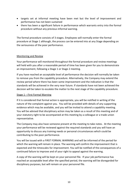- targets set at informal meeting have been met but the level of improvement and performance has not been sustained
- there has been a significant failure in performance which warrants entry into the formal procedure without any previous informal warning.

The formal procedure consists of 3 stages. Employees will normally enter the formal procedure at Stage 1 although, the process can be entered into at any Stage depending on the seriousness of the poor performance.

# Monitoring and Review

Your performance will monitored throughout the formal procedure and review meetings will held with you after a reasonable period of time has been given for you to demonstrate an improvement, following a Stage 1 or Stage 2 meeting.

If you have reached an acceptable level of performance the decision will normally be taken to remove you from the capability procedure. Alternatively, the Company may extend the review period where there has been some improvement and the indication is that the standards will be achieved in the very near future. If standards have not been achieved the decision will be taken to escalate the matter to the next stage of the capability procedure.

# Stage 1 – First Formal Warning

If it is considered that formal action is appropriate, you will be notified in writing of the nature of the complaint against you. You will be provided with details of any supporting evidence which may be available, and you will be invited to attend a capability meeting. You will be advised that disciplinary action may be taken as a result of this meeting and of your statutory right to be accompanied at this meeting by a colleague or a trade union representative.

The Company may also have someone present at the meeting to take notes. At the meeting your performance will be reviewed against the required standards and you will have an opportunity to discuss any training needs or personal circumstances which could be contributing to the poor performance.

You will be issued with a FIRST FORMAL WARNING and will be informed of the period for which the warning will remain in place. The warning will confirm the improvement that is expected and the timescales for improvement. You will be notified of the consequences of a continued failure to improve and of your right to appeal against the warning.

A copy of the warning will be kept on your personnel file. If your job performance has reached an acceptable level after the specified period, the warning will be disregarded for disciplinary purposes, but will remain on your personnel file*.*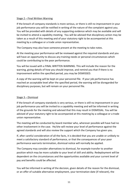# Stage 2 – Final Written Warning

If the breach of company standards is more serious, or there is still no improvement in your job performance you will be notified in writing of the nature of the complaint against you. You will be provided with details of any supporting evidence which may be available and will be invited to attend a capability meeting. You will be advised that disciplinary action may be taken as a result of this meeting and of your statutory right to be accompanied at this meeting by a colleague or a trade union representative.

The Company may also have someone present at the meeting to take notes.

At the meeting your performance will be reviewed against the required standards and you will have an opportunity to discuss any training needs or personal circumstances which could be contributing to the poor performance.

You will be issued with a FINAL WRITTEN WARNING. This will include the reason for the warning, giving details of how you should improve, and remind you that if there is no improvement within the specified period, you may be DISMISSED.

A copy of the warning will be kept on your personnel file. If your job performance has reached an acceptable level after the specified period, the warning will be disregarded for disciplinary purposes, but will remain on your personnel file*.*

# Stage 3 – Dismissal

If the breach of company standards is very serious, or there is still no improvement in your job performance you will be invited to a capability meeting and will be informed in writing of the grounds for the meeting and advised that this may result in DISMISSAL. You will be advised of your statutory right to be accompanied at this meeting by a colleague or a trade union representative.

The meeting will be conducted by board member who, wherever possible will have had no other involvement in the case. He/she will review your level of performance against the agreed standards and will also review the support which the Company has given you.

If, after careful consideration of all the facts, it is decided that you are unable or unlikely to meet a satisfactory standard of performance, or that the consequences of your poor performance warrants termination, dismissal notice will normally be applied.

The Company may consider alternatives to dismissal, for example transfer to another position which may be more suitable to your level of skill and ability. Redeployment will be dependent on the circumstances and the opportunities available and your current level of pay and benefits could be affected.

You will be informed in writing of the decision, given details of the reason for the dismissal, or an offer of suitable alternative employment, your termination date (if relevant), the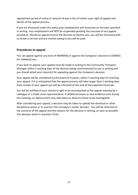appropriate period of notice or amount of pay in lieu of notice, your right of appeal and details of the appeal process*.* 

If you are dismissed under this policy your employment will terminate on the date specified in writing. Your employment will NOT be suspended pending the outcome of any appeal procedure. Should an appeal reverse the decision to dismiss you, you will be reinstated with no break in service and any monies owing to you will be paid.

# **Procedures to appeal**

You can appeal against any level of WARNING or against the Company's decision to DISMISS [or redeploy] you.

If you wish to appeal, your appeal must be made in writing to the Community Transport Manager within 5 working days of the decision being communicated to you in writing and you should detail your reason(s) for appealing against the Company's decision.

Your appeal will be considered by the board of trustees, within 5 working days of receiving your appeal. If it is anticipated that the appeal process will take longer than 5 working days from receipt of your appeal you will be informed of this and of the expected timescale.

You will be notified of your statutory right to be accompanied at the appeal meeting by a colleague or a trade union representative. If additional issues or new evidence arise during this meeting, an adjournment may take place to allow for these to be investigated.

After considering your appeal, a decision may be taken to uphold the dismissal or other disciplinary action or to overturn the Company's earlier decision. You will be informed of the outcome of the appeal and the reasons for the decision in writing, as soon as possible. The decision which is reached is final.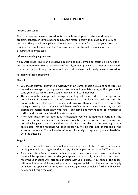# **GRIEVANCE POLICY**

#### **Purpose and scope**

The purpose of a grievance procedure is to enable employees to raise a work-related problem, concern or complaint and to have the matter dealt with as quickly and fairly as possible. This procedure applies to all employees. It does not form part of your terms and conditions of employment and the Company may depart from it depending on the circumstances of the case.

#### **Informally raising a grievance**

Many work-place issues can be resolved quickly and easily by taking informal action. If it is not appropriate to raise your grievance informally, or your grievance has not been resolved to your satisfaction through informal action, you should use the formal grievance procedure

#### **Formally raising a grievance**

#### **Stage 1**

- You should put your grievance in writing, without unreasonable delay, and send it to your immediate manager. If your grievance involves your immediate manager, then you should send your grievance to a more senior manager or board member
- The appropriate manager will arrange a meeting with you to discuss your grievance, normally within 5 working days of receiving your complaint. You will be given the opportunity to explain your grievance and how you think it should be resolved. The manager hearing your complaint will listen carefully to what you have to say and will discuss the matter thoroughly with you. Your complaint may need to be investigated further and you will be advised if this is the case
- After your grievance has been fully investigated, you will be notified in writing of the outcome and of any action to be taken to resolve your grievance. This response will normally be given to you in writing, within 5 working days of the meeting. If it is anticipated that the response will take longer you will be informed of this and of the expected timescale. You will also be informed of your right to appeal if you are dissatisfied with the outcome

# **Stage 2**

- If you are dissatisfied with the handling of your grievance at Stage 1, you can appeal in writing to a senior manager, sending a copy of your appeal letter to the SACT Board
- An appeal officer (where possible, a board member with no previous involvement in the case) will be appointed to consider your appeal and, normally within 5 working days of receiving your appeal, will arrange a meeting with you to discuss your appeal. The appeal officer will listen carefully to what you have to say and will discuss the matter thoroughly with you. The appeal officer may want to investigate your complaint further and you will be advised if this is the case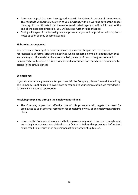- After your appeal has been investigated, you will be advised in writing of the outcome. This response will normally be given to you in writing, within 5 working days of the appeal meeting. If it is anticipated that the response will take longer you will be informed of this and of the expected timescale. You will have no further right of appeal
- During all stages of the formal grievance procedure you will be provided with copies of notes as soon as they become available

#### **Right to be accompanied**

You have a statutory right to be accompanied by a work colleague or a trade union representative at formal grievance meetings, which concern a complaint about a duty that we owe to you. If you wish to be accompanied, please confirm your request to a senior manager who will confirm if it is reasonable and appropriate for your chosen companion to attend in the circumstances

#### **Ex-employee**

If you wish to raise a grievance after you have left the Company, please forward it in writing. The Company is not obliged to investigate or respond to your complaint but we may decide to do so if it is deemed appropriate.

#### **Resolving complaints through the employment tribunal**

- The Company hopes that effective use of this procedure will negate the need for employees to seek external resolution for complaints by way of an employment tribunal claim.
- However, the Company also respects that employees may wish to exercise this right and, accordingly, employees are advised that a failure to follow this procedure beforehand could result in a reduction in any compensation awarded of up to 25%.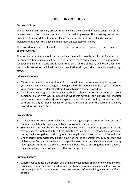# **DISCIPLINARY POLICY**

# **Purpose & Scope**

The purpose of a disciplinary procedure is to ensure the safe and effective operation of the business and to promote fair treatment of individual employees. The following procedure provides a framework to address any lapses in conduct [or attendance] and encourages individual employees to achieve and maintain an acceptable standard.

This procedure applies to all employees. It does not form part of your terms and conditions of employment.

This policy does not apply to dismissals, where the employment is terminated for a reason unconnected to disciplinary action, such as in the event of redundancy, retirement, or nonrenewal of a fixed term contract. If these situations arise the Company will follow a fair and reasonable procedure, which will include consultation with you prior to any dismissal taking effect.

# **Informal Warnings**

- Minor breaches of Company standards may result in an informal warning being given to you by your immediate manager. The objective of the warning is to help you to improve your conduct [or attendance] without having to use a formal procedure.
- An informal warning is normally given verbally, although a note may be kept in your personnel file of what was discussed and what was agreed. Your manager will monitor your conduct [or attendance] over an agreed period. If you do not improve satisfactorily, or there are any further breaches of Company standards, then the formal disciplinary procedure will be invoked.

# **Investigation**

- If it becomes necessary to formally address issues regarding your conduct [or attendance] the matter will first be investigated by an appropriate manager
- This investigation will be carried out thoroughly and as quickly as possible in all the circumstances. Confidentiality will be maintained, as far as is reasonably practicable, during the investigation and throughout the disciplinary process, should this be activated
- Under certain circumstances, including but not limited to harassment, bullying, theft and violence, the Company may decide to suspend you on basic pay, while the matter is being investigated. This is not a disciplinary sanction, but a way of ensuring that a full review of the circumstances can take place as effectively as possible.

# **Criminal Charges**

• Where your conduct is the subject of a criminal investigation, charge or conviction we will investigate the facts before deciding whether to take formal disciplinary action. We will not usually wait for the outcome of any prosecution before deciding what action, if any, to take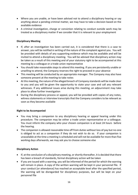- Where you are unable, or have been advised not to attend a disciplinary hearing or say anything about a pending criminal matter, we may have to take a decision based on the available evidence
- A criminal investigation, charge or conviction relating to conduct outside work may be treated as a disciplinary matter if we consider that it is relevant to your employment

# **Disciplinary Meeting**

- If, after an investigation has been carried out, it is considered that there is a case to answer, you will be notified in writing of the nature of the complaint against you. You will be provided with details of any supporting evidence which may be available and will be invited to attend a disciplinary meeting. You will be advised that disciplinary action may be taken as a result of this meeting and of your statutory right to be accompanied at this meeting by a colleague or a trade union representative
- You should take reasonable steps to attend this meeting. If you are persistently unable or unwilling to attend, the Company reserves the right to proceed in your absence
- This meeting will be conducted by an appropriate manager. The Company may also have someone present at the meeting to take notes
- At this meeting, the nature of the alleged breach of Company standards will be made clear to you and you will be given the opportunity to state your case and call any relevant witnesses. If any additional issues arise during this meeting, an adjournment may take place to allow further investigation
- During the disciplinary process or appeal, you will be provided with copies of any notes, witness statements or interview transcripts that the Company considers to be relevant as soon as they become available

# **Right to be Accompanied**

- You may bring a companion to any disciplinary hearing or appeal hearing under this procedure. The companion may be either a trade union representative or a colleague. You must inform the company who your chosen companion is at least 24 hours before the hearing.
- The companion is allowed reasonable time off from duties without loss of pay but no-one is obliged to act as a companion if they do not wish to do so. If your companion is unavailable at the time a meeting is scheduled and will not be available for more than five working days afterwards, we may ask you to choose someone else

# **Disciplinary Action**

- If, at the conclusion of a disciplinary meeting, or shortly thereafter, it is decided that there has been a breach of standards, formal disciplinary action will be taken
- If you are issued with a warning, you will be informed of the period for which the warning will remain in place. A copy of the written warning will be kept in your personnel file. If your conduct [or attendance] has reached an acceptable level after the specified period, the warning will be disregarded for disciplinary purposes, but will be kept on your personnel file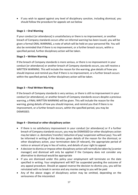• If you wish to appeal against any level of disciplinary sanction, including dismissal, you should follow the procedure for appeals set out below

# **Stage 1 – Oral Warning**

If your conduct [or attendance] is unsatisfactory or there is no improvement, or another breach of Company standards occurs after an informal warning has been issued, you will be given a formal ORAL WARNING, a note of which will be held on your personnel file. You will also be reminded that if there is no improvement, or a further breach occurs, within a specified period, further disciplinary action will be taken.

# **Stage 2 – Written Warning**

If the breach of Company standards is more serious, or there is no improvement in your conduct [or attendance] or another breach of Company standards occurs, you will receive a WRITTEN WARNING. This will include the reason for the warning, give details of how you should improve and remind you that if there is no improvement, or a further breach occurs within the specified period*,* further disciplinary action will be taken.

# **Stage 3 – Final Written Warning**

If the breach of Company standards is very serious, or there is still no improvement in your conduct [or attendance], or another breach of Company standards occurs despite a previous warning, a FINAL WRITTEN WARNING will be given. This will include the reason for the warning, giving details of how you should improve, and remind you that if there is no improvement, or a further breach occurs, within the specified period, you may be DISMISSED.

# **Stage 4 – Dismissal or other disciplinary action**

- If there is no satisfactory improvement in your conduct [or attendance] or if a further breach of Company standards occurs, you may be DISMISSED (or other disciplinary action may be taken i.e. demotion/ transfer/ reduction of pay/ suspension without pay). You will be informed in writing of the decision, given details of the reason for the dismissal, or other disciplinary action, your termination date (if relevant), the appropriate period of notice or amount of pay in lieu of notice, and details of your right to appeal
- A decision to dismiss or impose other disciplinary action will normally be taken by [a senior manager] and dismissal will only be applied if the Company does not consider any alternative to dismissal would be appropriate
- If you are dismissed under this policy your employment will terminate on the date specified in writing. Your employment will NOT be suspended pending the outcome of any appeal procedure. Should an appeal reverse the decision to dismiss you, you will be reinstated with no break in service and any monies owing to you will be paid
- Any of the above stages of disciplinary action may be omitted, depending on the seriousness of the misconduct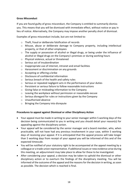# **Gross Misconduct**

If you are found guilty of gross misconduct, the Company is entitled to summarily dismiss you. This means that you will be dismissed with immediate effect, without notice or pay in lieu of notice. Alternatively, the Company may impose another penalty short of dismissal.

Examples of gross misconduct include, but are not limited to:

- o Theft, fraud or deliberate falsification of records
- o Misuse, abuse or deliberate damage to Company property, including intellectual property, or that of other employees
- $\circ$  The supply or possession of alcohol or illegal drugs, or being under the influence of alcohol or illegal drugs on the Company's premises or during working hours
- o Physical violence, actual or threatened
- o Serious act of insubordination
- o Inappropriate use of internet, intranet and email facilities
- o Harassment or discrimination on any grounds
- o Accepting or offering a bribe
- o Disclosure of confidential information
- o Serious breach of the health and safety rules
- o Serious or repeated negligent acts in the performance of your duties
- o Persistent or serious failure to follow reasonable instructions
- o Giving false or misleading information to the Company
- o Leaving the workplace without permission or reasonable excuse
- o Serious disregard for rules or instructions given by the Company
- o Unauthorised absence
- o Bringing the Company into disrepute

#### **Procedures to appeal against Dismissal or other Disciplinary Action**

- Your appeal must be made in writing to your senior manager within 5 working days of the decision being communicated to you in writing and you should detail your reason(s) for appealing against the disciplinary action.
- Your appeal will be considered by the senior manager and a board member, who, when practicable, will not have had any previous involvement in your case, within 5 working days of receiving your appeal. If it is anticipated that the appeal process will take longer than 5 working days from receipt of your appeal you will be informed of this and of the expected timescale.
- You will be notified of your statutory right to be accompanied at the appeal meeting by a colleague or a trade union representative. If additional issues or new evidence arise during this meeting, an adjournment may take place to allow for these to be investigated.
- After considering your appeal, a decision may be taken to uphold the dismissal or other disciplinary action or to overturn the findings of the disciplinary meeting. You will be informed of the outcome of the appeal and the reasons for the decision in writing, as soon as possible. The decision which is reached is final.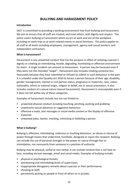# **BULLYING AND HARASSMENT POLICY**

#### **Introduction**

SACT is committed to providing a working environment free from bullying and harassment. We aim to ensure that all staff are treated, and treat others, with dignity and respect. This policy covers bullying or harassment which occurs at work and out of the workplace including on work trips or at work-related events or social functions. This policy applies to all staff at all levels including employees, management, agency and casual workers, and independent contractors.

#### **What is harassment?**

Harassment is any unwanted conduct that has the purpose or effect of violating a person's dignity or creating an intimidating, hostile, degrading, humiliating or offensive environment for them. A single incident can amount to harassment. A person may be harassed even if they were not the intended "target". Harassment also includes treating someone less favourably because they have submitted or refused to submit to such behaviour in the past. It is unlawful under the Equality Act 2010 to harass a person because of their age, disability, gender reassignment, marital or civil partner status, pregnancy or maternity, race, colour, nationality, ethnic or national origin, religion or belief, sex or sexual orientation. It also includes conduct of a sexual nature (sexual harassment). Harassment is unacceptable even if it does not fall within any of these categories.

Examples of harassment include, but are not limited to:

- unwanted physical conduct including touching, pinching, pushing and grabbing
- unwelcome sexual advances or suggestive behaviour
- offensive e-mails, text messages or social media content or the display of offensive materials
- unwanted jokes, banter, mocking, mimicking or belittling a person

# **What is bullying?**

Bullying is offensive, intimidating, malicious or insulting behaviour, an abuse or misuse of power through means that undermine, humiliate, denigrate or injure the recipient. Bullying can include the use of personal strength or the power to coerce through fear or intimidation, not necessarily from someone in a position of authority.

Bullying may be physical, verbal or non-verbal. It can include conduct that is not face-toface, including via text message, email and social media. Examples of bullying include:

- physical or psychological threats;
- overbearing and intimidating levels of supervision;
- inappropriate derogatory remarks about a person or their performance;
- shouting at staff;
- persistently picking on people in front of others or in private;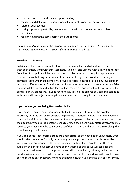- blocking promotion and training opportunities;
- regularly and deliberately ignoring or excluding staff from work activities or work
- related social events:
- setting a person up to fail by overloading them with work or setting impossible deadlines;
- regularly making the same person the butt of jokes.

*Legitimate and reasonable criticism of a staff member's performance or behaviour, or reasonable management instructions, do not amount to bullying.*

#### **Breaches of this Policy**

Bullying and harassment are not tolerated in our workplace and all staff are required to treat each other, along with our customers, suppliers, and visitors, with dignity and respect. Breaches of this policy will be dealt with in accordance with our disciplinary procedure. Serious cases of bullying or harassment may amount to gross misconduct resulting in dismissal. Staff who make complaints or who participate in good faith in any investigation must not suffer any form of retaliation or victimisation as a result. However, making a false allegation deliberately and in bad faith will be treated as misconduct and dealt with under our disciplinary procedure. Anyone found to have retaliated against or victimised someone in this way will be subject to disciplinary action under our disciplinary procedure.

#### **If you believe you are being Harassed or Bullied**

If you believe you are being harassed or bullied, you may wish to raise the problem informally with the person responsible. Explain the situation and how it has made you feel. It can be helpful to describe the event, so the other person is clear about your concerns. Use the opportunity to ask the person to change or stop their behaviour. Alternatively, you may speak to your manager who can provide confidential advice and assistance in resolving the issue formally or informally.

If you do not feel that informal steps are appropriate, or they have been unsuccessful, you should raise the matter formally under our grievance procedure. All complaints will be investigated in accordance with our grievance procedure If we consider that there is sufficient evidence to suggest you have been harassed or bullied we will consider the appropriate action to take. If the person accused is an employee, this may include invoking our disciplinary procedure. Whether or not your complaint is upheld, we will consider how best to manage any ongoing working relationship between you and the person concerned.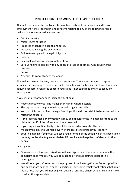# **PROTECTION FOR WHISTLEBLOWERS POLICY**

All employees are protected by law from unfair treatment, victimisation and loss of employment if they report genuine concerns relating to any of the following areas of malpractice, or suspected malpractice:

- Criminal activity
- Miscarriages of justice
- Practices endangering health and safety
- Practices damaging the environment
- Failure to comply with a legal obligation
- Bribery
- Financial malpractice, impropriety or fraud
- Serious failure to comply with any codes of practice or ethical rules covering the business
	- and/or
- Attempts to conceal any of the above

The malpractice can be past, present or prospective. You are encouraged to report suspected wrongdoing as soon as possible. No action will be taken against you if you raise genuine concerns even if the concern you raised is not confirmed by any subsequent investigation.

## If you wish to report any such incident, you should:

- Report directly to your line manager or higher (where possible)
- The report should be put in writing as well as given verbally
- You must inform your line manager/employer if you do not wish it to be known who has raised the concern
- If the report is made anonymously, it may be difficult for the line manager to take the claim further if all the information is not provided
- If you request confidentiality, this will be respected absolutely. The line manager/employer must make every effort possible to protect your identity
- Your line manager/employer will keep you informed of the action which has been taken but may not be able to give much detail if they have to keep the confidence of other people

#### **Investigation**

- Once a concern has been raised, we will investigate this. If you have not made the complaint anonymously, you will be asked to attend a meeting as part of this investigation.
- We will keep you informed as to the progress of the investigation, as far as is possible and appropriate bearing in mind, in particular, any confidentiality obligations that apply. Please note that you will not be given details of any disciplinary action taken unless we consider this appropriate.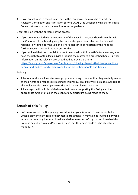• If you do not wish to report to anyone in the company, you may also contact the Advisory, Conciliation and Arbitration Service (ACAS), the whistleblowing charity Public Concern at Work or their trade union for more guidance

# Dissatisfaction with the outcome of the process

- If you are dissatisfied with the outcome of the investigation, you should raise this with the Chairman of the Board, giving the reasons for your dissatisfaction. He/she will respond in writing notifying you of his/her acceptance or rejection of the need for further investigation and the reasons for this
- If you still feel that the complaint has not been dealt with in a satisfactory manner, you have the right to obtain legal advice or report the matter to a prescribed body. Further information on the relevant prescribed bodies is available here: [https://www.gov.uk/government/publications/blowing-the-whistle-list-of-prescribed](https://www.gov.uk/government/publications/blowing-the-whistle-list-of-prescribed-people-and-bodies--2/whistleblowing-list-of-prescribed-people-and-bodies)[people-and-bodies--2/whistleblowing-list-of-prescribed-people-and-bodies](https://www.gov.uk/government/publications/blowing-the-whistle-list-of-prescribed-people-and-bodies--2/whistleblowing-list-of-prescribed-people-and-bodies)

# **Training**

- All of our workers will receive an appropriate briefing to ensure that they are fully aware of their rights and responsibilities under this Policy. This Policy will be made available to all employees via the company website and the employee handbook
- All managers will be fully briefed as to their role in supporting this Policy and the appropriate action to take in the event of any disclosure being made to them

# **Breach of this Policy**

• SACT may invoke the Disciplinary Procedure if anyone is found to have subjected a whistle-blower to any form of detrimental treatment. It may also be invoked if anyone within the company has intentionally misled us in respect of any matter, breached this Policy in any other way and/or if we believe that they have made a false allegation maliciously.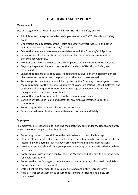# **HEALTH AND SAFETY POLICY**

# **Management**

SACT management has overall responsibility for Health and Safety and will:

- Administer and interpret the effective implementation of SACT's Health and Safety policy
- Understand the application of the Health and Safety at Work Act 1974 and other legislation relevant to the Company's business
- Ensure that adequate resources are available to fulfil the Company's obligations
- Be responsible for the safety performance and for monitoring and coordinating performance within SACT
- Monitor contractor activities to ensure compliance with any Permit to Work issued
- Regularly inspect equipment to ensure that standards of Health and Safety are maintained
- Ensure that persons are adequately trained and fully aware of any hazards which are likely to be encountered and the precautions that are to be observed
- Personal protective equipment will be supplied by the Company to employees to meet the requirements of the Personal Equipment at Work Regulations 1992. Employees and contracts will be required to report loss or damage of any equipment to SACT management so that it can be replaced
- Ensure that people know what to do in the case of emergencies
- Consider any issues of Health and Safety for any employee/trainee under their supervision
- Report any accident or near miss as soon as possible
- Set a personal example at all times with respect to Health and Safety

# **Employees**

All employees are responsible for fulfilling their statutory duty under the Health and Safety at Work Act 1974. In particular, they should:

- Report any hazardous conditions in the first instance to their Line Manager
- Observe all safety rules at all times and refrain from intentionally misusing or recklessly interfering with anything that has been provided for Health and Safety reasons
- Wear appropriate safety clothing/equipment and use appropriate safety devices where necessary
- Conform to all instructions given by their Line Manager and others with a responsibility for Health and Safety
- Report to the Line Manager if there are any problems with regard to Health and Safety during their course of their work
- Obtain First Aid treatment for any injury sustained and notify representative
- Regularly inspect equipment to ensure that standards of Health and Safety are maintained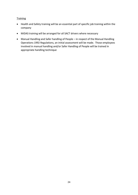# **Training**

- Health and Safety training will be an essential part of specific job training within the company
- MiDAS training will be arranged for all SACT drivers where necessary
- Manual Handling and Safer handling of People in respect of the Manual Handling Operations 1992 Regulations, an initial assessment will be made. Those employees involved in manual handling and/or Safer Handling of People will be trained in appropriate handling technique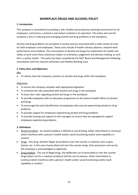# **WORKPLACE DRUGS AND ALCOHOL POLICY**

#### **1. Introduction**

This company is committed to providing a safe, healthy and productive working environment for all employees, contractors, customers and visitors involved in its operation. This policy sets out the company's aims in reducing and managing alcohol and drug problems in the workplace.

Alcohol and drug problems are prevalent in society and are associated with a wide variety of costs for both employers and employees. These costs include ill-health sickness absence, reduced work performance and accidents. The consumption of alcohol and drugs has implications for health and safety at work since these substances impair co-ordination, judgement and decision making; as such this is a policy matter. This policy has been compiled by the SACT Board and Management following consultation with the relevant authorities and Healthy Working Lives.

#### **2. Policy Aims and Objectives**

Aim

• To clearly state the company's position on alcohol and drugs within the workplace.

#### Objectives

- To ensure the company complies with appropriate legislation
- To minimise the risks associated with alcohol and drugs in the workplace
- To have clear rules regarding alcohol and drugs in the workplace
- To provide employees with an education programme on the adverse health effects of alcohol and drugs
- To encourage the early identification of employees who may be experiencing alcohol or drug problems
- To provide support for employees experiencing alcohol and drug problems
- To provide training and support to line managers to ensure they are equipped to support employees experiencing problems

#### **3. Definitions**

- Alcohol problem An alcohol problem is defined as any drinking, either intermittent or continual which interferes with a person's health and/or social functioning and/or work capability or conduct
- Drugs Any drug, whether illegal, prescribed or over the counter or solvents such as glue, butane, etc. In the case of prescribed and over the counter drugs, their possession and use by the employee is acknowledged as legitimate
- Drug problem The use of illegal drugs, the deliberate use of prescribed or over the counter drugs (when not for a medical condition) and the use of solvents, either intermittent or continual which interferes with a person's health and/or social functioning and/or work capability or conduct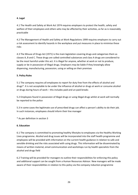#### **4. Legal**

4.1 The Health and Safety at Work Act 1974 requires employers to protect the health, safety and welfare of their employees and others who may be affected by their activities, as far as is reasonably practicable

4.2 The Management of Health and Safety at Work Regulations 1999 requires employers to carry out a risk assessment to identify hazards in the workplace and put measures in place to minimise these risks

4.3 The Misuse of Drugs Act (1971) is the main legislation covering drugs and categorises them as classes A, B and C. These drugs are called controlled substances and class A drugs are considered to be the most harmful under this act. It is illegal for anyone, whether at work or not to produce, supply or be in possession of illegal drugs. Employers may be liable if they knowingly allow dispensing, manufacturing, possession, using or selling on their premises

# **5. Policy Rules**

5.1 The company requires all employees to report for duty free from the effects of alcohol and drugs\*. It is not acceptable to be under the influence of alcohol or drugs at work or consume alcohol or drugs during hours of work – this includes paid and un-paid breaks

5.2 Employees found in possession of illegal drugs or using illegal drugs whilst at work will normally be reported to the police

5.3 In some cases the legitimate use of prescribed drugs can affect a person's ability to do their job. In such instances, employees should inform their line manager

\* As per definition in section 3

#### **6. Education**

6.1 The company is committed to promoting healthy lifestyles to employees via the Healthy Working Lives programme. Alcohol and drug issues will be incorporated into the staff health programme and employees will be provided with information on the current health guidance in relation to safe and sensible drinking and the risks associated with using drugs. This information will be disseminated by means of written material, email communication and workshops run by health specialists from the alcohol and drugs field

6.2 Training will be provided for managers to outline their responsibilities for enforcing this policy and additional support can be sought from a Human Resources Advisor. New managers will be made aware of their responsibilities in relation to this policy via the company induction programme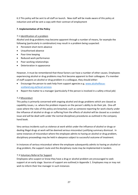6.3 This policy will be sent to all staff on launch. New staff will be made aware of this policy at induction and will be sent a copy with their contract of employment

#### **7. Implementation of the Policy**

#### 7.1 Identification of a problem

Alcohol and drug problems may become apparent through a number of means, for example the following (particularly in combination) may result in a problem being suspected:

- Persistent short-term absence
- Unauthorised absence
- Poor time keeping
- Reduced work performance
- Poor working relationships
- Deterioration in appearance

However, it must be remembered that these factors can have a number of other causes. Employees experiencing alcohol or drug problems may first become apparent to their colleagues. If a member of staff suspects an alcohol or drug problem in a colleague, they should either:

- Encourage the person to seek help from support agencies e.g. [www.alcoholfocus](http://www.alcoholfocus-scotland.org.uk/local-services)[scotland.org.uk/local-services](http://www.alcoholfocus-scotland.org.uk/local-services)
- Report the matter to a manager (particularly if the person is involved in a safety critical job)

#### 7.2 Misconduct

This policy is primarily concerned with ongoing alcohol and drugs problems which are classed as capability issues, i.e. where the problem impacts on the person's ability to do their job. One-off cases where the rules of this policy are breached, such as someone reporting for work clearly under the influence of alcohol or drugs or suffering from the effects of alcohol will be classed as a conduct issue and will be dealt with under the normal disciplinary procedures as outlined in the company hand book.

Very serious incidents such as violence at work whilst under the influence of alcohol or drugs or dealing illegal drugs at work will be deemed serious misconduct justifying summary dismissal. In some instances of misconduct where the employee admits to having an alcohol or drug problem, disciplinary proceedings may be held in abeyance subject to successful outcome of treatment.

In instances of serious misconduct where the employee subsequently admits to having an alcohol or drug problem, the support route and the disciplinary route may be implemented in tandem.

#### 7.3 Voluntary Referral for Support

Employees who suspect or know they have a drug or alcohol problem are encouraged to seek support at an early stage. Sources of support are outlined in Appendix 1. Employees may or may not wish to inform their line manager in such instances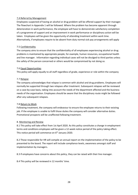#### 7.4 Referral by Management

Employees suspected of having an alcohol or drug problem will be offered support by their manager. The flowchart in Appendix 1 will be followed. Where the problem has become apparent through deterioration in work performance, the employee will have to demonstrate satisfactory completion of a programme of support and an improvement in work performance or disciplinary action will be taken. Employees will be given the opportunity of attending treatment within work time. Alternatively, if employees require to be absent from duty normal sick pay arrangements will apply

#### 7.5 Confidentiality

The company aims to ensure that the confidentiality of all employees experiencing alcohol or drug problems is maintained by appropriate people, for example, human resources, occupational health and line manager. Information regarding individual cases will not be divulged to third parties unless the safety of the person concerned or others would be compromised by not doing so.

#### 7.6 Equal Opportunities

This policy will apply equally to all staff regardless of grade, experience or role within the company

#### 7.7 Relapse

The company acknowledges that relapse is common with alcohol and drug problems. Employees will normally be supported through two relapses after treatment. Subsequent relapses will be reviewed on a case-by-case basis, taking into account the needs of the department affected and the business needs of the organisation. Employees should be aware that the disciplinary route might be followed after any subsequent relapses.

#### 7.8 Return to Work

Following treatment, the company will endeavour to ensure the employee returns to their existing job. If the employee is unable to fulfil those duties the company will consider alternative duties. Promotional prospects will be unaffected following treatment.

#### 8. Monitoring and Review

8.1 This policy will take effect from 1st April 2020. As this policy constitutes a change in employment terms and conditions employees will be given a 12-week notice period of the policy taking effect. This notice period will commence on 6<sup>th</sup> January 2020.

8.2 Those responsible for HR will compile an annual report on the implementation of the policy to be presented to the board. The report will include compliance levels, awareness amongst staff and implementation by managers.

8.3 If employees have concerns about this policy, they can be raised with their line manager.

8.4 This policy will be reviewed in 12 months' time.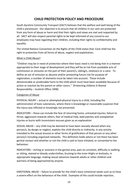# **CHILD PROTECTION POLICY AND PROCEDURE**

South Ayrshire Community Transport (SACT) believes that the welfare and well-being of the child is paramount. Our objective is to ensure that all children in our care are protected from any form of abuse or harm and that their rights and views are met and respected by all. SACT will also respect parental rights to be kept informed of any concerns our employees may have regarding their children, including their rights to confidentiality and equality.

The United Nations Convention on the Rights of the Child states that: Each child has the right to protection from all forms of abuse, neglect and exploitation.

# What is Child Abuse?

"Children may be in need of protection where their basic need is not being met in a manner appropriate to their stage of development and they will be at risk from avoidable acts of commission or omission on the part of their parent/s, sibling/s, relative/s or a carer. To define an act of omission as abusive and/or presenting future risk for purpose of registration, a number of elements must be taken into account. These include demonstrable or predictable harm to the child which must have been avoidable because of action or inaction by the parent or other carers." (Protecting children A Shared Responsibility – Scottish Office 1998)

# Categories of Abuse

PHYSICAL INJURY – actual or attempted physical injury to a child, including the administration of toxic substances, where there is knowledge or reasonable suspicion that the injury was inflicted or knowingly not prevented.

INDICATORS – these can include the fear of returning home, untreated injuries, failure to thrive, aggression towards others, fear of medical help, bald patches and unexplained injuries or burns with inconsistent excuses given as an explanation

SEXUAL ABUSE – any child may be deemed to have been sexually abused when any person/s, by design or neglect, exploits the child directly or indirectly, in any activity intended to the sexual arousal or other forms of gratification of that person or any other person/s including organised networks. This definition holds where or not there has been genital contact and whether or not the child is said to have initiated, or consented to the behaviour.

INDICATORS – itching or soreness in the genital area, pain on urination, difficulty in walking or sitting, stained or bloody underclothes, bruising to the inner thighs or buttocks, in appropriate language, making sexual advances towards adults or other children and wariness of being approached by anyone.

EMOTIONAL ABUSE – failure to provide for the child's basic emotional needs such as to have a severe effect on the behaviour of the child. Examples of this could include rejection,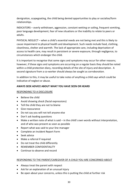denigration, scapegoating, the child being denied opportunities to play or socialise/form relationships.

INDICATORS – overly withdrawn, aggression, constant wetting or soiling, frequent vomiting, poor language development, fear of new situations or the inability to relate to peers or adults.

PHYSICAL NEGLECT – when a child's essential needs are not being met and this is likely to cause impairment to physical health and development. Such needs include food, clothing, cleanliness, shelter and warmth. The lack of appropriate care, including deprivation of access to health care, may result in persistent or severe exposure, through negligence, to circumstances which endanger the child.

It is important to recognise that some signs and symptoms may occur for other reasons; however, if these signs and symptoms are occurring on a regular basis they should be noted within a child protection diary, recording details of the site of injury and description. A second signature from a co-worker should always be sought as corroboration.

In addition to this, it may be useful to take notes of anything a child says which could be indicative of neglect or abuse.

# **AWAYS SEEK ADVICE ABOUT WHAT YOU HAVE SEEN OR HEARD**

# RESPONDING TO A DISCLOSURE

- Believe the child
- Avoid showing shock (facial expressions)
- Tell the child they are not to blame
- Give reassurance
- Do not say you will not tell anyone else
- Don't ask leading questions
- Make a written note of what is said in the child's own words without interpretation, and of who was present as soon as possible
- Report what was said to your line manager
- Complete an Incident Report Form
- Seek advice
- Make a referral if required
- Do not treat the child differently
- REMEMBER CONFIDENTIALITY
- Continue to observe and record

#### RESPONDING TO THE PARENT/CAREGIVER OF A CHILD YOU ARE CONCERNED ABOUT

- Always treat the parent with respect
- Ask for an explanation of an unusual injury
- Be open about your concerns, unless this is putting the child at further risk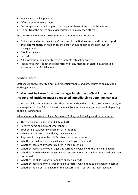- Explain what will happen next
- Offer support at every stage
- Encouragement should be given for the parent to continue to use the service
- Do not treat the parent any less favourably or equally than others

# PROCEDURES FOR REPORTING/SHARING SUSPICIONS OR CONCERNS

- Get advice and report suspicions/concerns. **In the first instance, staff should report to their line manager**. In his/her absence, staff should report to the next level of management
- Monitor the child
- Record
- All information should be stored in a lockable cabinet or drawer
- Please note that it is not the responsibility of any member of staff to investigate a suspected case of child abuse

#### CONFIDENTIALITY

Staff should always refer to SACT's confidentiality policy and procedures to ensure good working practices.

# **Advice must be taken from line manager in relation to Child Protection Incident. All incidents must be reported immediately to your line manager.**

If there are child protection concerns then a referral should be made to Social Services or, in an emergency, to the Police. This will be made by your line manager or yourself (depending on the circumstances).

When a referral is made to Social Services or Police, the following details are required:

- The child's name, address and date of birth
- Parent's name and current whereabouts
- Your details (e.g. your involvement with the child)
- What your concerns are and why they have arisen
- Any recent changes in the child's behaviour or presentation
- Whether a child said anything which has made you concerned
- Whether there are any other children in the household
- Whether there are any other agencies currently involved with the family (if known)
- Whether there have been any previous concerns about this child or other children in the household
- Whether the child has any disabilities or special needs
- Whether there are any cultural or religious factors which need to be taken into account
- Whether the parents are aware of the concerns and, if so, what is their reaction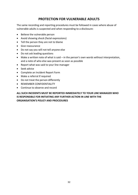# **PROTECTION FOR VULNERABLE ADULTS**

The same recording and reporting procedures must be followed in cases where abuse of vulnerable adults is suspected and when responding to a disclosure:

- Believe the vulnerable person
- Avoid showing shock (facial expressions)
- Tell the person they are not to blame
- Give reassurance
- Do not say you will not tell anyone else
- Do not ask leading questions
- Make a written note of what is said in the person's own words without interpretation, and a note of who else was present as soon as possible
- Report what was said to your line manager
- Seek advice
- Complete an Incident Report Form
- Make a referral if required
- Do not treat the person differently
- REMEMBER CONFIDENTIALITY
- Continue to observe and record

**ALL SUCH INCIDENTS MUST BE REPORTED IMMEDIATELY TO YOUR LINE MANAGER WHO IS RESPONSIBLE FOR INITIATING ANY FURTHER ACTION IN LINE WITH THE ORGANISATION'S POLICY AND PROCEDURES**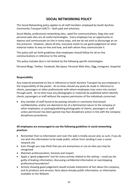# **SOCIAL NETWORKING POLICY**

This Social Networking policy applies to all staff members employed by South Ayrshire Community Transport (SACT) – both paid and voluntary.

Social Media, professional networking sites, rapid-fire communications, blog sites and personal web sites are all useful technologies. Every employee has an opportunity to express and communicate on-line in many ways, and we do not wish to discourage an online presence. However, above all else, everyone needs to use good judgement on what material makes its way on-line and how, and with whom they communicate it.

This policy will set forth guidelines that employees should follow for all on-line communications in reference to the setting.

This policy includes (but is not limited to) the following specific technologies:

Personal Blogs, Twitter, Facebook, My Space, Personal Web Sites, Digg, Instagram, Snapchat

#### **Responsibility**

Any material presented on line in reference to South Ayrshire Transport by any employee is the responsibility of the poster. At no times should any posts be made in reference to clients, passengers or other professionals with whom employees may come into contact through work. At no time must any photographs or materials be published which identify clients, passengers or staff without the express permission of the individuals concerned.

• Any member of staff found to be posting remarks or comments that breach confidentiality; and/or are deemed to be of a detrimental nature to the company or other employees; or posting/publishing photographs of clients, passengers or staff unless permission has been gained may face disciplinary action in line with the company disciplinary procedures.

# **All employees are encouraged to use the following guidelines in social networking practices**:

- Remember that no information sent over the web is totally secure and, as such, if you do not wish the information to be made public, refrain from sending it over a social network site
- Even though you may think that you are anonymous or use an alias you may be recognised
- Maintain professionalism, honesty and respect
- Apply a 'good judgement' test for every activity related to the setting could you be guilty of leaking information, discussing confidential information or overstepping professional boundaries?
- Activity showing good judgement would include statements of fact about the company, and its products and services; facts about already-public information; or information available on the Website.